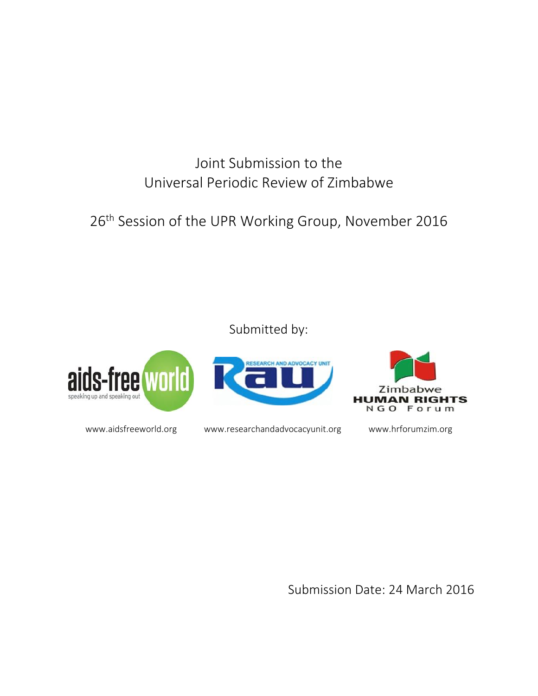Joint Submission to the Universal Periodic Review of Zimbabwe

26<sup>th</sup> Session of the UPR Working Group, November 2016

Submitted by:



www.aidsfreeworld.org www.researchandadvocacyunit.org www.hrforumzim.org

Submission Date: 24 March 2016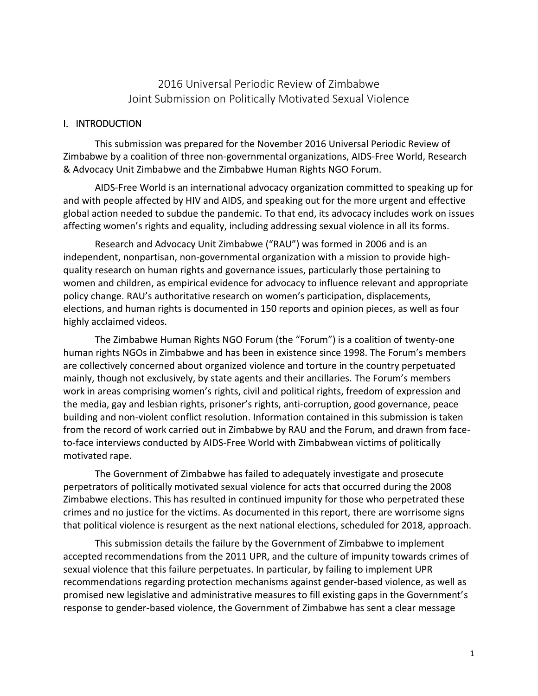2016 Universal Periodic Review of Zimbabwe Joint Submission on Politically Motivated Sexual Violence

#### I. INTRODUCTION

This submission was prepared for the November 2016 Universal Periodic Review of Zimbabwe by a coalition of three non-governmental organizations, AIDS-Free World, Research & Advocacy Unit Zimbabwe and the Zimbabwe Human Rights NGO Forum.

AIDS-Free World is an international advocacy organization committed to speaking up for and with people affected by HIV and AIDS, and speaking out for the more urgent and effective global action needed to subdue the pandemic. To that end, its advocacy includes work on issues affecting women's rights and equality, including addressing sexual violence in all its forms.

Research and Advocacy Unit Zimbabwe ("RAU") was formed in 2006 and is an independent, nonpartisan, non-governmental organization with a mission to provide highquality research on human rights and governance issues, particularly those pertaining to women and children, as empirical evidence for advocacy to influence relevant and appropriate policy change. RAU's authoritative research on women's participation, displacements, elections, and human rights is documented in 150 reports and opinion pieces, as well as four highly acclaimed videos.

The Zimbabwe Human Rights NGO Forum (the "Forum") is a coalition of twenty-one human rights NGOs in Zimbabwe and has been in existence since 1998. The Forum's members are collectively concerned about organized violence and torture in the country perpetuated mainly, though not exclusively, by state agents and their ancillaries. The Forum's members work in areas comprising women's rights, civil and political rights, freedom of expression and the media, gay and lesbian rights, prisoner's rights, anti-corruption, good governance, peace building and non-violent conflict resolution. Information contained in this submission is taken from the record of work carried out in Zimbabwe by RAU and the Forum, and drawn from faceto-face interviews conducted by AIDS-Free World with Zimbabwean victims of politically motivated rape.

The Government of Zimbabwe has failed to adequately investigate and prosecute perpetrators of politically motivated sexual violence for acts that occurred during the 2008 Zimbabwe elections. This has resulted in continued impunity for those who perpetrated these crimes and no justice for the victims. As documented in this report, there are worrisome signs that political violence is resurgent as the next national elections, scheduled for 2018, approach.

This submission details the failure by the Government of Zimbabwe to implement accepted recommendations from the 2011 UPR, and the culture of impunity towards crimes of sexual violence that this failure perpetuates. In particular, by failing to implement UPR recommendations regarding protection mechanisms against gender-based violence, as well as promised new legislative and administrative measures to fill existing gaps in the Government's response to gender-based violence, the Government of Zimbabwe has sent a clear message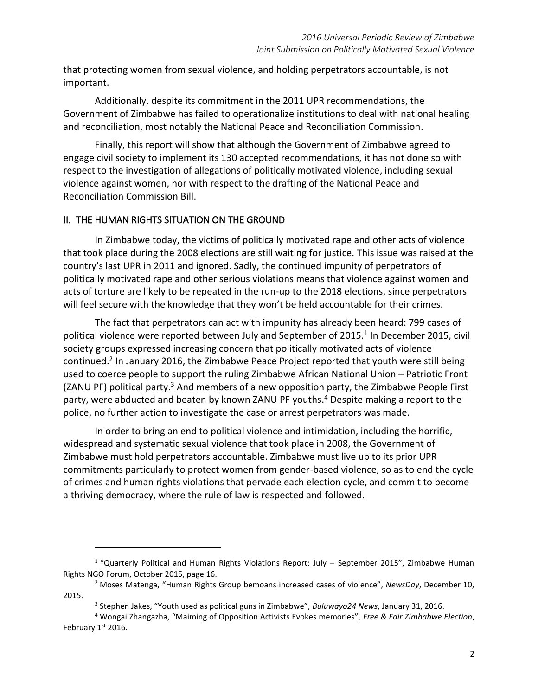that protecting women from sexual violence, and holding perpetrators accountable, is not important.

Additionally, despite its commitment in the 2011 UPR recommendations, the Government of Zimbabwe has failed to operationalize institutions to deal with national healing and reconciliation, most notably the National Peace and Reconciliation Commission.

Finally, this report will show that although the Government of Zimbabwe agreed to engage civil society to implement its 130 accepted recommendations, it has not done so with respect to the investigation of allegations of politically motivated violence, including sexual violence against women, nor with respect to the drafting of the National Peace and Reconciliation Commission Bill.

#### II. THE HUMAN RIGHTS SITUATION ON THE GROUND

 $\overline{a}$ 

In Zimbabwe today, the victims of politically motivated rape and other acts of violence that took place during the 2008 elections are still waiting for justice. This issue was raised at the country's last UPR in 2011 and ignored. Sadly, the continued impunity of perpetrators of politically motivated rape and other serious violations means that violence against women and acts of torture are likely to be repeated in the run-up to the 2018 elections, since perpetrators will feel secure with the knowledge that they won't be held accountable for their crimes.

The fact that perpetrators can act with impunity has already been heard: 799 cases of political violence were reported between July and September of 2015.<sup>1</sup> In December 2015, civil society groups expressed increasing concern that politically motivated acts of violence continued.<sup>2</sup> In January 2016, the Zimbabwe Peace Project reported that youth were still being used to coerce people to support the ruling Zimbabwe African National Union – Patriotic Front (ZANU PF) political party. $3$  And members of a new opposition party, the Zimbabwe People First party, were abducted and beaten by known ZANU PF youths.<sup>4</sup> Despite making a report to the police, no further action to investigate the case or arrest perpetrators was made.

In order to bring an end to political violence and intimidation, including the horrific, widespread and systematic sexual violence that took place in 2008, the Government of Zimbabwe must hold perpetrators accountable. Zimbabwe must live up to its prior UPR commitments particularly to protect women from gender-based violence, so as to end the cycle of crimes and human rights violations that pervade each election cycle, and commit to become a thriving democracy, where the rule of law is respected and followed.

<sup>&</sup>lt;sup>1</sup> "Quarterly Political and Human Rights Violations Report: July - September 2015", Zimbabwe Human Rights NGO Forum, October 2015, page 16.

<sup>2</sup> Moses Matenga, "Human Rights Group bemoans increased cases of violence", *NewsDay*, December 10, 2015.

<sup>3</sup> Stephen Jakes, "Youth used as political guns in Zimbabwe", *Buluwayo24 News*, January 31, 2016.

<sup>4</sup> Wongai Zhangazha, "Maiming of Opposition Activists Evokes memories", *Free & Fair Zimbabwe Election*, February  $1<sup>st</sup>$  2016.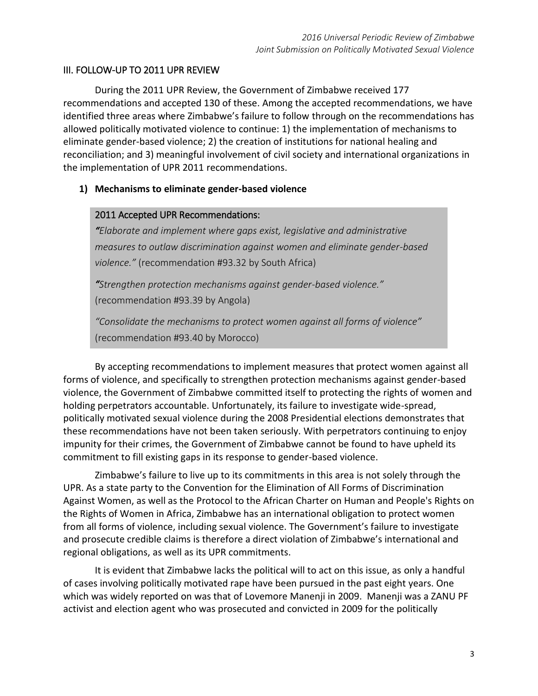# III. FOLLOW-UP TO 2011 UPR REVIEW

During the 2011 UPR Review, the [Government of Zimbabwe received 177](http://www.upr-epu.com/ENG/country.php?id=261)  [recommendations](http://www.upr-epu.com/ENG/country.php?id=261) and accepted 130 of these. Among the accepted recommendations, we have identified three areas where Zimbabwe's failure to follow through on the recommendations has allowed politically motivated violence to continue: 1) the implementation of mechanisms to eliminate gender-based violence; 2) the creation of institutions for national healing and reconciliation; and 3) meaningful involvement of civil society and international organizations in the implementation of UPR 2011 recommendations.

## **1) Mechanisms to eliminate gender-based violence**

## 2011 Accepted UPR Recommendations:

*"Elaborate and implement where gaps exist, legislative and administrative measures to outlaw discrimination against women and eliminate gender-based violence."* (recommendation #93.32 by South Africa)

*"Strengthen protection mechanisms against gender-based violence."*  (recommendation #93.39 by Angola)

*"Consolidate the mechanisms to protect women against all forms of violence"*  (recommendation #93.40 by Morocco)

By accepting recommendations to implement measures that protect women against all forms of violence, and specifically to strengthen protection mechanisms against gender-based violence, the Government of Zimbabwe committed itself to protecting the rights of women and holding perpetrators accountable. Unfortunately, its failure to investigate wide-spread, politically motivated sexual violence during the 2008 Presidential elections demonstrates that these recommendations have not been taken seriously. With perpetrators continuing to enjoy impunity for their crimes, the Government of Zimbabwe cannot be found to have upheld its commitment to fill existing gaps in its response to gender-based violence.

Zimbabwe's failure to live up to its commitments in this area is not solely through the UPR. As a state party to the Convention for the Elimination of All Forms of Discrimination Against Women, as well as the Protocol to the African Charter on Human and People's Rights on the Rights of Women in Africa, Zimbabwe has an international obligation to protect women from all forms of violence, including sexual violence. The Government's failure to investigate and prosecute credible claims is therefore a direct violation of Zimbabwe's international and regional obligations, as well as its UPR commitments.

It is evident that Zimbabwe lacks the political will to act on this issue, as only a handful of cases involving politically motivated rape have been pursued in the past eight years. One which was widely reported on was that of Lovemore Manenji in 2009. Manenji was a ZANU PF activist and election agent who was prosecuted and convicted in 2009 for the politically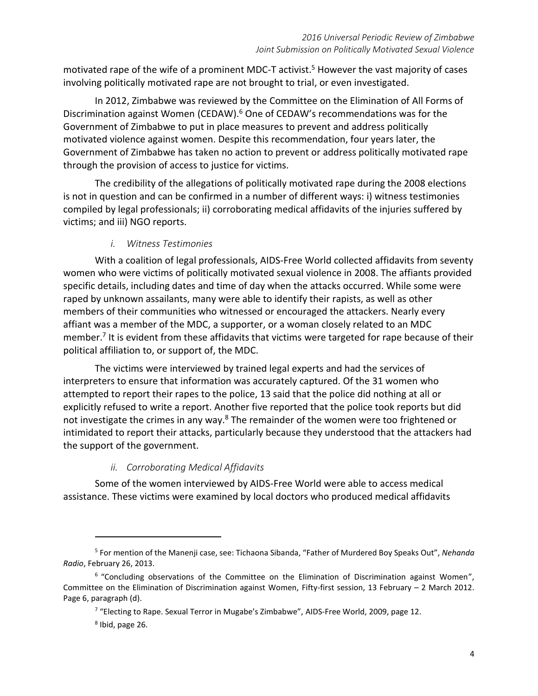motivated rape of the wife of a prominent MDC-T activist.<sup>5</sup> However the vast majority of cases involving politically motivated rape are not brought to trial, or even investigated.

In 2012, Zimbabwe was reviewed by the Committee on the Elimination of All Forms of Discrimination against Women (CEDAW).<sup>6</sup> One of CEDAW's recommendations was for the Government of Zimbabwe to put in place measures to prevent and address politically motivated violence against women. Despite this recommendation, four years later, the Government of Zimbabwe has taken no action to prevent or address politically motivated rape through the provision of access to justice for victims.

The credibility of the allegations of politically motivated rape during the 2008 elections is not in question and can be confirmed in a number of different ways: i) witness testimonies compiled by legal professionals; ii) corroborating medical affidavits of the injuries suffered by victims; and iii) NGO reports.

# *i. Witness Testimonies*

With a coalition of legal professionals, AIDS-Free World collected affidavits from seventy women who were victims of politically motivated sexual violence in 2008. The affiants provided specific details, including dates and time of day when the attacks occurred. While some were raped by unknown assailants, many were able to identify their rapists, as well as other members of their communities who witnessed or encouraged the attackers. Nearly every affiant was a member of the MDC, a supporter, or a woman closely related to an MDC member.<sup>7</sup> It is evident from these affidavits that victims were targeted for rape because of their political affiliation to, or support of, the MDC.

The victims were interviewed by trained legal experts and had the services of interpreters to ensure that information was accurately captured. Of the 31 women who attempted to report their rapes to the police, 13 said that the police did nothing at all or explicitly refused to write a report. Another five reported that the police took reports but did not investigate the crimes in any way.<sup>8</sup> The remainder of the women were too frightened or intimidated to report their attacks, particularly because they understood that the attackers had the support of the government.

# *ii. Corroborating Medical Affidavits*

Some of the women interviewed by AIDS-Free World were able to access medical assistance. These victims were examined by local doctors who produced medical affidavits

 $\overline{a}$ 

<sup>5</sup> For mention of the Manenji case, see: Tichaona Sibanda, "Father of Murdered Boy Speaks Out", *Nehanda Radio*, February 26, 2013.

<sup>&</sup>lt;sup>6</sup> "Concluding observations of the Committee on the Elimination of Discrimination against Women", Committee on the Elimination of Discrimination against Women, Fifty-first session, 13 February – 2 March 2012. Page 6, paragraph (d).

<sup>&</sup>lt;sup>7</sup> "Electing to Rape. Sexual Terror in Mugabe's Zimbabwe", AIDS-Free World, 2009, page 12.

<sup>8</sup> Ibid, page 26.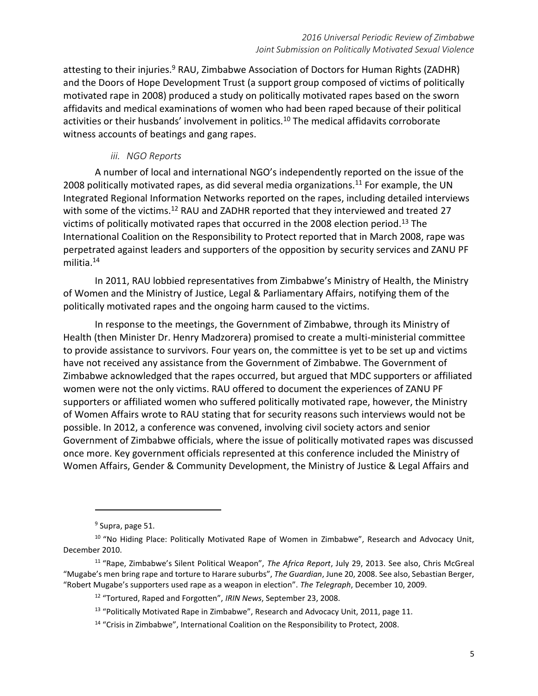attesting to their injuries.<sup>9</sup> RAU, Zimbabwe Association of Doctors for Human Rights (ZADHR) and the Doors of Hope Development Trust (a support group composed of victims of politically motivated rape in 2008) produced a study on politically motivated rapes based on the sworn affidavits and medical examinations of women who had been raped because of their political activities or their husbands' involvement in politics.<sup>10</sup> The medical affidavits corroborate witness accounts of beatings and gang rapes.

### *iii. NGO Reports*

A number of local and international NGO's independently reported on the issue of the 2008 politically motivated rapes, as did several media organizations.<sup>11</sup> For example, the UN Integrated Regional Information Networks reported on the rapes, including detailed interviews with some of the victims.<sup>12</sup> RAU and ZADHR reported that they interviewed and treated 27 victims of politically motivated rapes that occurred in the 2008 election period.<sup>13</sup> The International Coalition on the Responsibility to Protect reported that in March 2008, rape was perpetrated against leaders and supporters of the opposition by security services and ZANU PF militia.<sup>14</sup>

In 2011, RAU lobbied representatives from Zimbabwe's Ministry of Health, the Ministry of Women and the Ministry of Justice, Legal & Parliamentary Affairs, notifying them of the politically motivated rapes and the ongoing harm caused to the victims.

In response to the meetings, the Government of Zimbabwe, through its Ministry of Health (then Minister Dr. Henry Madzorera) promised to create a multi-ministerial committee to provide assistance to survivors. Four years on, the committee is yet to be set up and victims have not received any assistance from the Government of Zimbabwe. The Government of Zimbabwe acknowledged that the rapes occurred, but argued that MDC supporters or affiliated women were not the only victims. RAU offered to document the experiences of ZANU PF supporters or affiliated women who suffered politically motivated rape, however, the Ministry of Women Affairs wrote to RAU stating that for security reasons such interviews would not be possible. In 2012, a conference was convened, involving civil society actors and senior Government of Zimbabwe officials, where the issue of politically motivated rapes was discussed once more. Key government officials represented at this conference included the Ministry of Women Affairs, Gender & Community Development, the Ministry of Justice & Legal Affairs and

 $\overline{a}$ 

<sup>&</sup>lt;sup>9</sup> Supra, page 51.

<sup>&</sup>lt;sup>10</sup> "No Hiding Place: Politically Motivated Rape of Women in Zimbabwe", Research and Advocacy Unit, December 2010.

<sup>11</sup> "Rape, Zimbabwe's Silent Political Weapon", *The Africa Report*, July 29, 2013. See also, Chris McGreal "Mugabe's men bring rape and torture to Harare suburbs", *The Guardian*, June 20, 2008. See also, Sebastian Berger, "Robert Mugabe's supporters used rape as a weapon in election". *The Telegraph*, December 10, 2009.

<sup>12</sup> "Tortured, Raped and Forgotten", *IRIN News*, September 23, 2008.

<sup>&</sup>lt;sup>13</sup> "Politically Motivated Rape in Zimbabwe", Research and Advocacy Unit, 2011, page 11.

<sup>&</sup>lt;sup>14</sup> "Crisis in Zimbabwe", International Coalition on the Responsibility to Protect, 2008.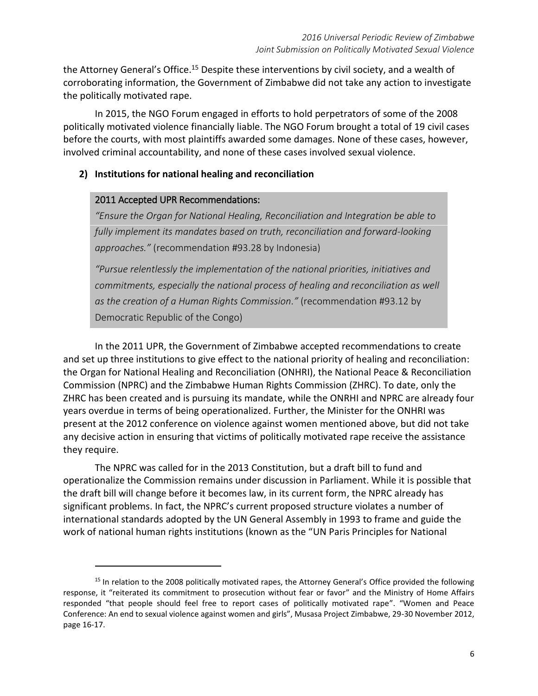the Attorney General's Office.<sup>15</sup> Despite these interventions by civil society, and a wealth of corroborating information, the Government of Zimbabwe did not take any action to investigate the politically motivated rape.

In 2015, the NGO Forum engaged in efforts to hold perpetrators of some of the 2008 politically motivated violence financially liable. The NGO Forum brought a total of 19 civil cases before the courts, with most plaintiffs awarded some damages. None of these cases, however, involved criminal accountability, and none of these cases involved sexual violence.

### **2) Institutions for national healing and reconciliation**

#### 2011 Accepted UPR Recommendations:

 $\overline{a}$ 

*"Ensure the Organ for National Healing, Reconciliation and Integration be able to fully implement its mandates based on truth, reconciliation and forward-looking approaches."* (recommendation #93.28 by Indonesia)

*"Pursue relentlessly the implementation of the national priorities, initiatives and commitments, especially the national process of healing and reconciliation as well as the creation of a Human Rights Commission."* (recommendation #93.12 by Democratic Republic of the Congo)

In the 2011 UPR, the Government of Zimbabwe accepted recommendations to create and set up three institutions to give effect to the national priority of healing and reconciliation: the Organ for National Healing and Reconciliation (ONHRI), the National Peace & Reconciliation Commission (NPRC) and the Zimbabwe Human Rights Commission (ZHRC). To date, only the ZHRC has been created and is pursuing its mandate, while the ONRHI and NPRC are already four years overdue in terms of being operationalized. Further, the Minister for the ONHRI was present at the 2012 conference on violence against women mentioned above, but did not take any decisive action in ensuring that victims of politically motivated rape receive the assistance they require.

The NPRC was called for in the 2013 Constitution, but a draft bill to fund and operationalize the Commission remains under discussion in Parliament. While it is possible that the draft bill will change before it becomes law, in its current form, the NPRC already has significant problems. In fact, the NPRC's current proposed structure violates a number of international standards adopted by the UN General Assembly in 1993 to frame and guide the work of national human rights institutions (known as the "UN Paris Principles for National

<sup>&</sup>lt;sup>15</sup> In relation to the 2008 politically motivated rapes, the Attorney General's Office provided the following response, it "reiterated its commitment to prosecution without fear or favor" and the Ministry of Home Affairs responded "that people should feel free to report cases of politically motivated rape". "Women and Peace Conference: An end to sexual violence against women and girls", Musasa Project Zimbabwe, 29-30 November 2012, page 16-17.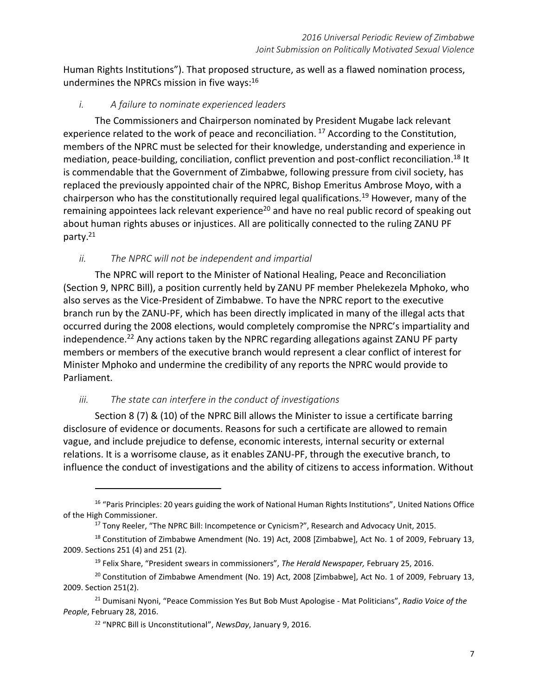Human Rights Institutions"). That proposed structure, as well as a flawed nomination process, undermines the NPRCs mission in five ways: 16

## *i. A failure to nominate experienced leaders*

The Commissioners and Chairperson nominated by President Mugabe lack relevant experience related to the work of peace and reconciliation.<sup>17</sup> According to the Constitution, members of the NPRC must be selected for their knowledge, understanding and experience in mediation, peace-building, conciliation, conflict prevention and post-conflict reconciliation. <sup>18</sup> It is commendable that the Government of Zimbabwe, following pressure from civil society, has replaced the previously appointed chair of the NPRC, Bishop Emeritus Ambrose Moyo, with a chairperson who has the constitutionally required legal qualifications.<sup>19</sup> However, many of the remaining appointees lack relevant experience<sup>20</sup> and have no real public record of speaking out about human rights abuses or injustices. All are politically connected to the ruling ZANU PF party. 21

# *ii. The NPRC will not be independent and impartial*

The NPRC will report to the Minister of National Healing, Peace and Reconciliation (Section 9, NPRC Bill), a position currently held by ZANU PF member Phelekezela Mphoko, who also serves as the Vice-President of Zimbabwe. To have the NPRC report to the executive branch run by the ZANU-PF, which has been directly implicated in many of the illegal acts that occurred during the 2008 elections, would completely compromise the NPRC's impartiality and independence.<sup>22</sup> Any actions taken by the NPRC regarding allegations against ZANU PF party members or members of the executive branch would represent a clear conflict of interest for Minister Mphoko and undermine the credibility of any reports the NPRC would provide to Parliament.

## *iii. The state can interfere in the conduct of investigations*

 $\overline{a}$ 

Section 8 (7) & (10) of the NPRC Bill allows the Minister to issue a certificate barring disclosure of evidence or documents. Reasons for such a certificate are allowed to remain vague, and include prejudice to defense, economic interests, internal security or external relations. It is a worrisome clause, as it enables ZANU-PF, through the executive branch, to influence the conduct of investigations and the ability of citizens to access information. Without

<sup>&</sup>lt;sup>16</sup> "Paris Principles: 20 years guiding the work of National Human Rights Institutions", United Nations Office of the High Commissioner.

<sup>&</sup>lt;sup>17</sup> Tony Reeler, "The NPRC Bill: Incompetence or Cynicism?", Research and Advocacy Unit, 2015.

<sup>&</sup>lt;sup>18</sup> Constitution of Zimbabwe Amendment (No. 19) Act, 2008 [Zimbabwe], Act No. 1 of 2009, February 13, 2009. Sections 251 (4) and 251 (2).

<sup>19</sup> Felix Share, "President swears in commissioners", *The Herald Newspaper,* February 25, 2016.

<sup>&</sup>lt;sup>20</sup> Constitution of Zimbabwe Amendment (No. 19) Act, 2008 [Zimbabwe], Act No. 1 of 2009, February 13, 2009. Section 251(2).

<sup>21</sup> Dumisani Nyoni, "Peace Commission Yes But Bob Must Apologise - Mat Politicians", *Radio Voice of the People*, February 28, 2016.

<sup>22</sup> "NPRC Bill is Unconstitutional", *NewsDay*, January 9, 2016.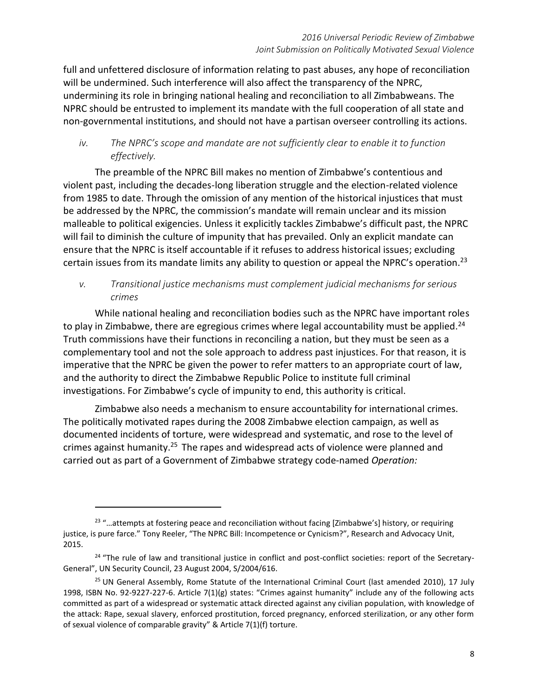full and unfettered disclosure of information relating to past abuses, any hope of reconciliation will be undermined. Such interference will also affect the transparency of the NPRC, undermining its role in bringing national healing and reconciliation to all Zimbabweans. The NPRC should be entrusted to implement its mandate with the full cooperation of all state and non-governmental institutions, and should not have a partisan overseer controlling its actions.

# *iv. The NPRC's scope and mandate are not sufficiently clear to enable it to function effectively.*

The preamble of the NPRC Bill makes no mention of Zimbabwe's contentious and violent past, including the decades-long liberation struggle and the election-related violence from 1985 to date. Through the omission of any mention of the historical injustices that must be addressed by the NPRC, the commission's mandate will remain unclear and its mission malleable to political exigencies. Unless it explicitly tackles Zimbabwe's difficult past, the NPRC will fail to diminish the culture of impunity that has prevailed. Only an explicit mandate can ensure that the NPRC is itself accountable if it refuses to address historical issues; excluding certain issues from its mandate limits any ability to question or appeal the NPRC's operation.<sup>23</sup>

# *v. Transitional justice mechanisms must complement judicial mechanisms for serious crimes*

While national healing and reconciliation bodies such as the NPRC have important roles to play in Zimbabwe, there are egregious crimes where legal accountability must be applied.<sup>24</sup> Truth commissions have their functions in reconciling a nation, but they must be seen as a complementary tool and not the sole approach to address past injustices. For that reason, it is imperative that the NPRC be given the power to refer matters to an appropriate court of law, and the authority to direct the Zimbabwe Republic Police to institute full criminal investigations. For Zimbabwe's cycle of impunity to end, this authority is critical.

Zimbabwe also needs a mechanism to ensure accountability for international crimes. The politically motivated rapes during the 2008 Zimbabwe election campaign, as well as documented incidents of torture, were widespread and systematic, and rose to the level of crimes against humanity.<sup>25</sup> The rapes and widespread acts of violence were planned and carried out as part of a Government of Zimbabwe strategy code-named *Operation:*

 $\overline{a}$ 

<sup>&</sup>lt;sup>23</sup> "...attempts at fostering peace and reconciliation without facing [Zimbabwe's] history, or requiring justice, is pure farce." Tony Reeler, "The NPRC Bill: Incompetence or Cynicism?", Research and Advocacy Unit, 2015.

<sup>&</sup>lt;sup>24</sup> "The rule of law and transitional justice in conflict and post-conflict societies: report of the Secretary-General", UN Security Council, 23 August 2004, S/2004/616.

<sup>&</sup>lt;sup>25</sup> UN General Assembly, Rome Statute of the International Criminal Court (last amended 2010), 17 July 1998, ISBN No. 92-9227-227-6. Article 7(1)(g) states: "Crimes against humanity" include any of the following acts committed as part of a widespread or systematic attack directed against any civilian population, with knowledge of the attack: Rape, sexual slavery, enforced prostitution, forced pregnancy, enforced sterilization, or any other form of sexual violence of comparable gravity" & Article 7(1)(f) torture.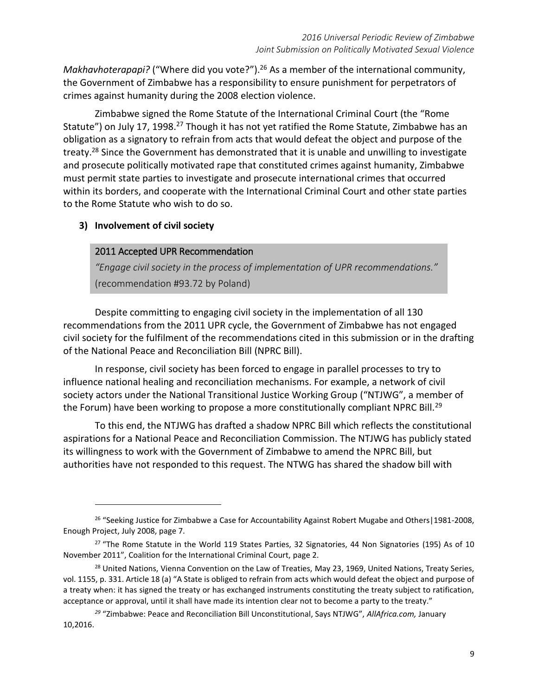Makhavhoterapapi? ("Where did you vote?").<sup>26</sup> As a member of the international community, the Government of Zimbabwe has a responsibility to ensure punishment for perpetrators of crimes against humanity during the 2008 election violence.

Zimbabwe signed the Rome Statute of the International Criminal Court (the "Rome Statute") on July 17, 1998.<sup>27</sup> Though it has not yet ratified the Rome Statute, Zimbabwe has an obligation as a signatory to refrain from acts that would defeat the object and purpose of the treaty.<sup>28</sup> Since the Government has demonstrated that it is unable and unwilling to investigate and prosecute politically motivated rape that constituted crimes against humanity, Zimbabwe must permit state parties to investigate and prosecute international crimes that occurred within its borders, and cooperate with the International Criminal Court and other state parties to the Rome Statute who wish to do so.

### **3) Involvement of civil society**

 $\overline{a}$ 

### 2011 Accepted UPR Recommendation

*"Engage civil society in the process of implementation of UPR recommendations."* (recommendation #93.72 by Poland)

Despite committing to engaging civil society in the implementation of all 130 recommendations from the 2011 UPR cycle, the Government of Zimbabwe has not engaged civil society for the fulfilment of the recommendations cited in this submission or in the drafting of the National Peace and Reconciliation Bill (NPRC Bill).

In response, civil society has been forced to engage in parallel processes to try to influence national healing and reconciliation mechanisms. For example, a network of civil society actors under the National Transitional Justice Working Group ("NTJWG", a member of the Forum) have been working to propose a more constitutionally compliant NPRC Bill.<sup>29</sup>

To this end, the NTJWG has drafted a shadow NPRC Bill which reflects the constitutional aspirations for a National Peace and Reconciliation Commission. The NTJWG has publicly stated its willingness to work with the Government of Zimbabwe to amend the NPRC Bill, but authorities have not responded to this request. The NTWG has shared the shadow bill with

<sup>&</sup>lt;sup>26</sup> "Seeking Justice for Zimbabwe a Case for Accountability Against Robert Mugabe and Others | 1981-2008, Enough Project, July 2008, page 7.

<sup>&</sup>lt;sup>27</sup> "The Rome Statute in the World 119 States Parties, 32 Signatories, 44 Non Signatories (195) As of 10 November 2011", Coalition for the International Criminal Court, page 2.

<sup>&</sup>lt;sup>28</sup> United Nations, Vienna Convention on the Law of Treaties, May 23, 1969, United Nations, Treaty Series, vol. 1155, p. 331. Article 18 (a) "A State is obliged to refrain from acts which would defeat the object and purpose of a treaty when: it has signed the treaty or has exchanged instruments constituting the treaty subject to ratification, acceptance or approval, until it shall have made its intention clear not to become a party to the treaty."

*<sup>29</sup>* "Zimbabwe: Peace and Reconciliation Bill Unconstitutional, Says NTJWG", *AllAfrica.com,* January 10,2016.